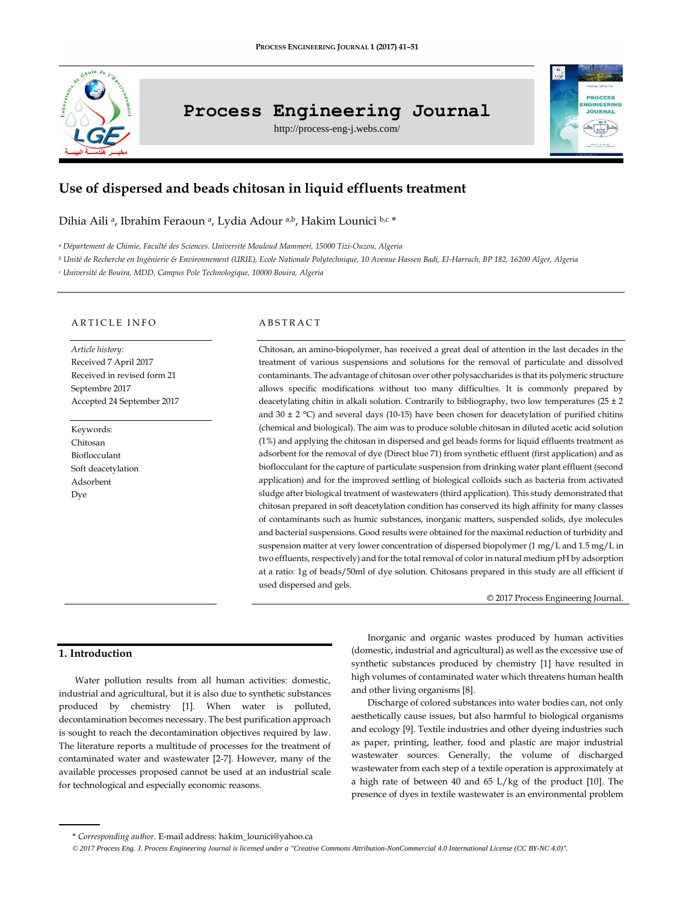

# **Process Engineering Journal**

http://process-eng-j.webs.com/



# **Use of dispersed and beads chitosan in liquid effluents treatment**

Dihia Aili ª, Ibrahim Feraoun ª, Lydia Adour ª.b, Hakim Lounici b.c \*

*<sup>a</sup> Département de Chimie, Faculté des Sciences. Université Mouloud Mammeri, 15000 Tizi-Ouzou, Algeria*

*<sup>b</sup> Unité de Recherche en Ingénierie & Environnement (URIE), Ecole Nationale Polytechnique, 10 Avenue Hassen Badi, El-Harrach, BP 182, 16200 Alger, Algeria*

*<sup>c</sup> Université de Bouira, MDD, Campus Pole Technologique, 10000 Bouira, Algeria*

#### ARTICLE INFO

*Article history:* Received 7 April 2017 Received in revised form 21 Septembre 2017 Accepted 24 September 2017

Keywords: Chitosan Bioflocculant Soft deacetylation Adsorbent Dye

#### **ABSTRACT**

Chitosan, an amino-biopolymer, has received a great deal of attention in the last decades in the treatment of various suspensions and solutions for the removal of particulate and dissolved contaminants. The advantage of chitosan over other polysaccharides is that its polymeric structure allows specific modifications without too many difficulties. It is commonly prepared by deacetylating chitin in alkali solution. Contrarily to bibliography, two low temperatures (25  $\pm$  2 and 30  $\pm$  2 °C) and several days (10-15) have been chosen for deacetylation of purified chitins (chemical and biological). The aim was to produce soluble chitosan in diluted acetic acid solution (1%) and applying the chitosan in dispersed and gel beads forms for liquid effluents treatment as adsorbent for the removal of dye (Direct blue 71) from synthetic effluent (first application) and as bioflocculant for the capture of particulate suspension from drinking water plant effluent (second application) and for the improved settling of biological colloids such as bacteria from activated sludge after biological treatment of wastewaters (third application). This study demonstrated that chitosan prepared in soft deacetylation condition has conserved its high affinity for many classes of contaminants such as humic substances, inorganic matters, suspended solids, dye molecules and bacterial suspensions. Good results were obtained for the maximal reduction of turbidity and suspension matter at very lower concentration of dispersed biopolymer (1 mg/L and 1.5 mg/L in two effluents, respectively) and for the total removal of color in natural medium pH by adsorption at a ratio: 1g of beads/50ml of dye solution. Chitosans prepared in this study are all efficient if used dispersed and gels.

© 2017 Process Engineering Journal.

# **1. Introduction**

Water pollution results from all human activities: domestic, industrial and agricultural, but it is also due to synthetic substances produced by chemistry [1]. When water is polluted, decontamination becomes necessary. The best purification approach is sought to reach the decontamination objectives required by law. The literature reports a multitude of processes for the treatment of contaminated water and wastewater [2-7]. However, many of the available processes proposed cannot be used at an industrial scale for technological and especially economic reasons.

Inorganic and organic wastes produced by human activities (domestic, industrial and agricultural) as well as the excessive use of synthetic substances produced by chemistry [1] have resulted in high volumes of contaminated water which threatens human health and other living organisms [8].

Discharge of colored substances into water bodies can, not only aesthetically cause issues, but also harmful to biological organisms and ecology [9]. Textile industries and other dyeing industries such as paper, printing, leather, food and plastic are major industrial wastewater sources. Generally, the volume of discharged wastewater from each step of a textile operation is approximately at a high rate of between 40 and 65 L/kg of the product [10]. The presence of dyes in textile wastewater is an environmental problem

<sup>\*</sup> *Corresponding author.* E-mail address[: hakim\\_lounici@yahoo.ca](mailto:hakim_lounici@yahoo.ca)

 $\odot$  2017 Process Eng. J. Process Engineering Journal is licensed under [a "Creative Commons Attribution-NonCommercial 4.0 International License \(CC BY-NC 4.0\)".](https://creativecommons.org/licenses/by-nc/4.0/)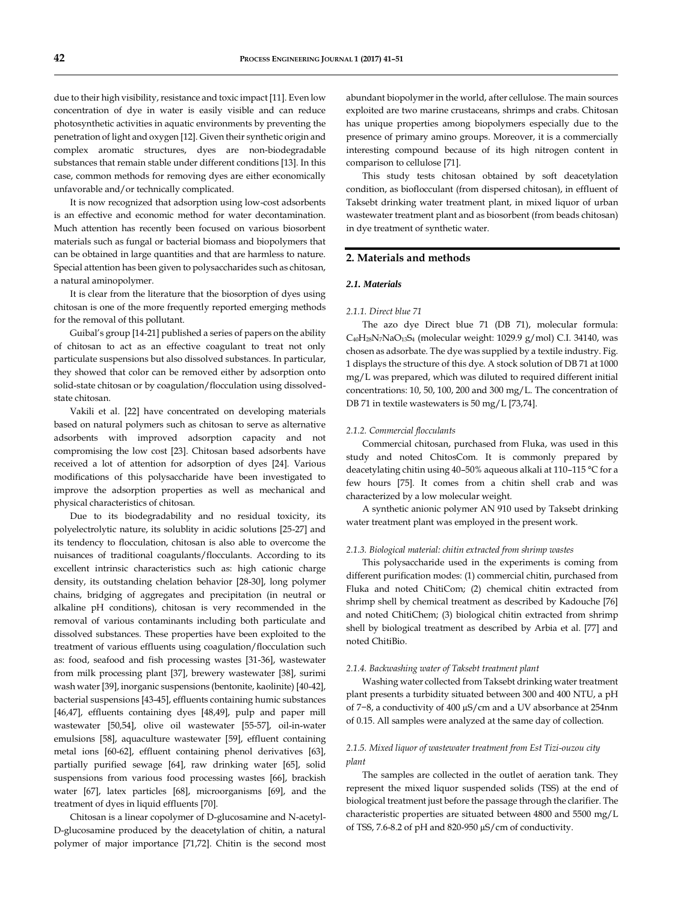due to their high visibility, resistance and toxic impact [11]. Even low concentration of dye in water is easily visible and can reduce photosynthetic activities in aquatic environments by preventing the penetration of light and oxygen [12]. Given their synthetic origin and complex aromatic structures, dyes are non-biodegradable substances that remain stable under different conditions [13]. In this case, common methods for removing dyes are either economically unfavorable and/or technically complicated.

It is now recognized that adsorption using low-cost adsorbents is an effective and economic method for water decontamination. Much attention has recently been focused on various biosorbent materials such as fungal or bacterial biomass and biopolymers that can be obtained in large quantities and that are harmless to nature. Special attention has been given to polysaccharides such as chitosan, a natural aminopolymer.

It is clear from the literature that the biosorption of dyes using chitosan is one of the more frequently reported emerging methods for the removal of this pollutant.

Guibal's group [14-21] published a series of papers on the ability of chitosan to act as an effective coagulant to treat not only particulate suspensions but also dissolved substances. In particular, they showed that color can be removed either by adsorption onto solid-state chitosan or by coagulation/flocculation using dissolvedstate chitosan.

Vakili et al. [22] have concentrated on developing materials based on natural polymers such as chitosan to serve as alternative adsorbents with improved adsorption capacity and not compromising the low cost [23]. Chitosan based adsorbents have received a lot of attention for adsorption of dyes [24]. Various modifications of this polysaccharide have been investigated to improve the adsorption properties as well as mechanical and physical characteristics of chitosan.

Due to its biodegradability and no residual toxicity, its polyelectrolytic nature, its solublity in acidic solutions [25-27] and its tendency to flocculation, chitosan is also able to overcome the nuisances of traditional coagulants/flocculants. According to its excellent intrinsic characteristics such as: high cationic charge density, its outstanding chelation behavior [28-30], long polymer chains, bridging of aggregates and precipitation (in neutral or alkaline pH conditions), chitosan is very recommended in the removal of various contaminants including both particulate and dissolved substances. These properties have been exploited to the treatment of various effluents using coagulation/flocculation such as: food, seafood and fish processing wastes [31-36], wastewater from milk processing plant [37], brewery wastewater [38], surimi wash water [39], inorganic suspensions (bentonite, kaolinite) [40-42], bacterial suspensions [43-45], effluents containing humic substances [46,47], effluents containing dyes [48,49], pulp and paper mill wastewater [50,54], olive oil wastewater [55-57], oil-in-water emulsions [58], aquaculture wastewater [59], effluent containing metal ions [60-62], effluent containing phenol derivatives [63], partially purified sewage [64], raw drinking water [65], solid suspensions from various food processing wastes [66], brackish water [67], latex particles [68], microorganisms [69], and the treatment of dyes in liquid effluents [70].

Chitosan is a linear copolymer of D-glucosamine and N-acetyl-D-glucosamine produced by the deacetylation of chitin, a natural polymer of major importance [71,72]. Chitin is the second most

abundant biopolymer in the world, after cellulose. The main sources exploited are two marine crustaceans, shrimps and crabs. Chitosan has unique properties among biopolymers especially due to the presence of primary amino groups. Moreover, it is a commercially interesting compound because of its high nitrogen content in comparison to cellulose [71].

This study tests chitosan obtained by soft deacetylation condition, as bioflocculant (from dispersed chitosan), in effluent of Taksebt drinking water treatment plant, in mixed liquor of urban wastewater treatment plant and as biosorbent (from beads chitosan) in dye treatment of synthetic water.

## **2. Materials and methods**

#### *2.1. Materials*

#### *2.1.1. Direct blue 71*

The azo dye Direct blue 71 (DB 71), molecular formula: C40H28N7NaO13S<sup>4</sup> (molecular weight: 1029.9 g/mol) C.I. 34140, was chosen as adsorbate. The dye was supplied by a textile industry. Fig. 1 displays the structure of this dye. A stock solution of DB 71 at 1000 mg/L was prepared, which was diluted to required different initial concentrations: 10, 50, 100, 200 and 300 mg/L. The concentration of DB 71 in textile wastewaters is 50 mg/L [73,74].

#### *2.1.2. Commercial flocculants*

Commercial chitosan, purchased from Fluka, was used in this study and noted ChitosCom. It is commonly prepared by deacetylating chitin using 40–50% aqueous alkali at 110–115 °C for a few hours [75]. It comes from a chitin shell crab and was characterized by a low molecular weight.

A synthetic anionic polymer AN 910 used by Taksebt drinking water treatment plant was employed in the present work.

#### *2.1.3. Biological material: chitin extracted from shrimp wastes*

This polysaccharide used in the experiments is coming from different purification modes: (1) commercial chitin, purchased from Fluka and noted ChitiCom; (2) chemical chitin extracted from shrimp shell by chemical treatment as described by Kadouche [76] and noted ChitiChem; (3) biological chitin extracted from shrimp shell by biological treatment as described by Arbia et al. [77] and noted ChitiBio.

#### *2.1.4. Backwashing water of Taksebt treatment plant*

Washing water collected from Taksebt drinking water treatment plant presents a turbidity situated between 300 and 400 NTU, a pH of 7−8, a conductivity of 400 µS/cm and a UV absorbance at 254nm of 0.15. All samples were analyzed at the same day of collection.

# *2.1.5. Mixed liquor of wastewater treatment from Est Tizi-ouzou city plant*

The samples are collected in the outlet of aeration tank. They represent the mixed liquor suspended solids (TSS) at the end of biological treatment just before the passage through the clarifier. The characteristic properties are situated between 4800 and 5500 mg/L of TSS, 7.6-8.2 of pH and 820-950 µS/cm of conductivity.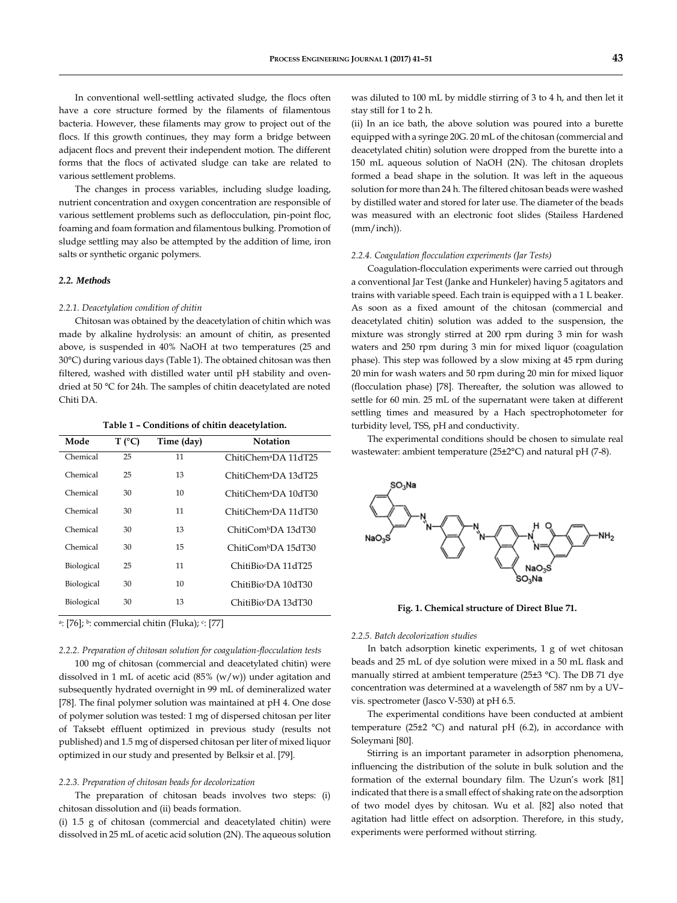In conventional well-settling activated sludge, the flocs often have a core structure formed by the filaments of filamentous bacteria. However, these filaments may grow to project out of the flocs. If this growth continues, they may form a bridge between adjacent flocs and prevent their independent motion. The different forms that the flocs of activated sludge can take are related to various settlement problems.

The changes in process variables, including sludge loading, nutrient concentration and oxygen concentration are responsible of various settlement problems such as deflocculation, pin-point floc, foaming and foam formation and filamentous bulking. Promotion of sludge settling may also be attempted by the addition of lime, iron salts or synthetic organic polymers.

# *2.2. Methods*

#### *2.2.1. Deacetylation condition of chitin*

Chitosan was obtained by the deacetylation of chitin which was made by alkaline hydrolysis: an amount of chitin, as presented above, is suspended in 40% NaOH at two temperatures (25 and 30°C) during various days (Table 1). The obtained chitosan was then filtered, washed with distilled water until pH stability and ovendried at 50 °C for 24h. The samples of chitin deacetylated are noted Chiti DA.

**Table 1 – Conditions of chitin deacetylation.**

| Mode       | $T$ (°C) | Time (day) | Notation                         |
|------------|----------|------------|----------------------------------|
| Chemical   | 25       | 11         | ChitiChem <sup>a</sup> DA 11dT25 |
| Chemical   | 25       | 13         | ChitiChemaDA 13dT25              |
| Chemical   | 30       | 10         | ChitiChem <sup>a</sup> DA 10dT30 |
| Chemical   | 30       | 11         | ChitiChemªDA 11dT30              |
| Chemical   | 30       | 13         | ChitiCom <sup>b</sup> DA 13dT30  |
| Chemical   | 30       | 15         | ChitiCom <sup>b</sup> DA 15dT30  |
| Biological | 25       | 11         | ChitiBio <sup>c</sup> DA 11dT25  |
| Biological | 30       | 10         | ChitiBio <sup>c</sup> DA 10dT30  |
| Biological | 30       | 13         | ChitiBio�DA 13dT30               |

a: [76]; b: commercial chitin (Fluka); c: [77]

#### *2.2.2. Preparation of chitosan solution for coagulation-flocculation tests*

100 mg of chitosan (commercial and deacetylated chitin) were dissolved in 1 mL of acetic acid (85% (w/w)) under agitation and subsequently hydrated overnight in 99 mL of demineralized water [78]. The final polymer solution was maintained at pH 4. One dose of polymer solution was tested: 1 mg of dispersed chitosan per liter of Taksebt effluent optimized in previous study (results not published) and 1.5 mg of dispersed chitosan per liter of mixed liquor optimized in our study and presented by Belksir et al. [79].

#### *2.2.3. Preparation of chitosan beads for decolorization*

The preparation of chitosan beads involves two steps: (i) chitosan dissolution and (ii) beads formation.

(i) 1.5 g of chitosan (commercial and deacetylated chitin) were dissolved in 25 mL of acetic acid solution (2N). The aqueous solution

was diluted to 100 mL by middle stirring of 3 to 4 h, and then let it stay still for 1 to 2 h.

(ii) In an ice bath, the above solution was poured into a burette equipped with a syringe 20G. 20 mL of the chitosan (commercial and deacetylated chitin) solution were dropped from the burette into a 150 mL aqueous solution of NaOH (2N). The chitosan droplets formed a bead shape in the solution. It was left in the aqueous solution for more than 24 h. The filtered chitosan beads were washed by distilled water and stored for later use. The diameter of the beads was measured with an electronic foot slides (Stailess Hardened (mm/inch)).

#### *2.2.4. Coagulation flocculation experiments (Jar Tests)*

Coagulation-flocculation experiments were carried out through a conventional Jar Test (Janke and Hunkeler) having 5 agitators and trains with variable speed. Each train is equipped with a 1 L beaker. As soon as a fixed amount of the chitosan (commercial and deacetylated chitin) solution was added to the suspension, the mixture was strongly stirred at 200 rpm during 3 min for wash waters and 250 rpm during 3 min for mixed liquor (coagulation phase). This step was followed by a slow mixing at 45 rpm during 20 min for wash waters and 50 rpm during 20 min for mixed liquor (flocculation phase) [78]. Thereafter, the solution was allowed to settle for 60 min. 25 mL of the supernatant were taken at different settling times and measured by a Hach spectrophotometer for turbidity level, TSS, pH and conductivity.

The experimental conditions should be chosen to simulate real wastewater: ambient temperature (25±2°C) and natural pH (7-8).



**Fig. 1. Chemical structure of Direct Blue 71.**

#### *2.2.5. Batch decolorization studies*

In batch adsorption kinetic experiments, 1 g of wet chitosan beads and 25 mL of dye solution were mixed in a 50 mL flask and manually stirred at ambient temperature (25±3 °C). The DB 71 dye concentration was determined at a wavelength of 587 nm by a UV– vis. spectrometer (Jasco V-530) at pH 6.5.

The experimental conditions have been conducted at ambient temperature (25 $\pm$ 2 °C) and natural pH (6.2), in accordance with Soleymani [80].

Stirring is an important parameter in adsorption phenomena, influencing the distribution of the solute in bulk solution and the formation of the external boundary film. The Uzun's work [81] indicated that there is a small effect of shaking rate on the adsorption of two model dyes by chitosan. Wu et al. [82] also noted that agitation had little effect on adsorption. Therefore, in this study, experiments were performed without stirring.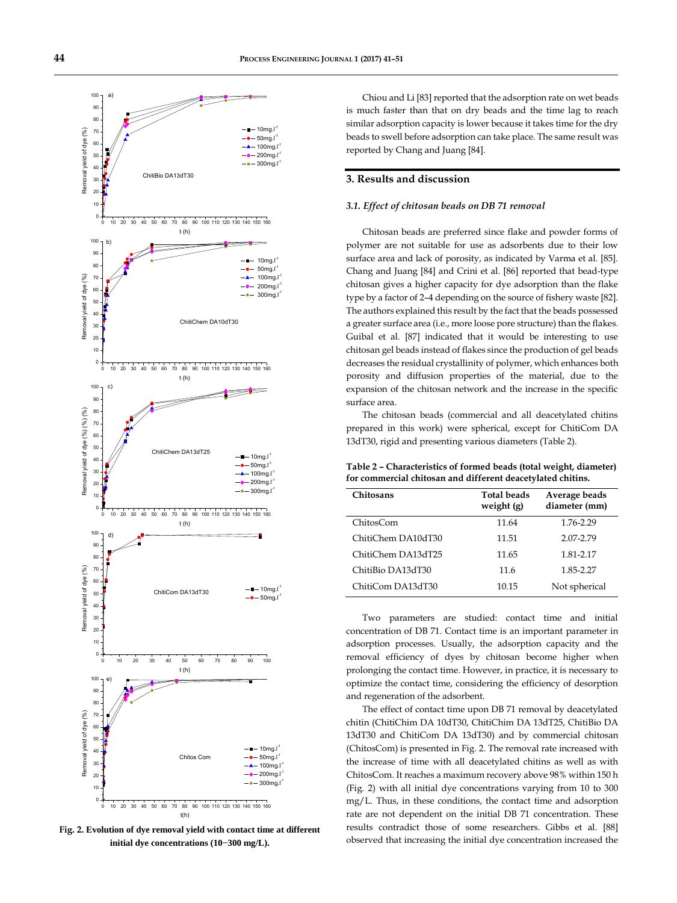

**Fig. 2. Evolution of dye removal yield with contact time at different initial dye concentrations (10−300 mg/L).**

Chiou and Li [83] reported that the adsorption rate on wet beads is much faster than that on dry beads and the time lag to reach similar adsorption capacity is lower because it takes time for the dry beads to swell before adsorption can take place. The same result was reported by Chang and Juang [84].

# **3. Results and discussion**

#### *3.1. Effect of chitosan beads on DB 71 removal*

Chitosan beads are preferred since flake and powder forms of polymer are not suitable for use as adsorbents due to their low surface area and lack of porosity, as indicated by Varma et al. [85]. Chang and Juang [84] and Crini et al. [86] reported that bead-type chitosan gives a higher capacity for dye adsorption than the flake type by a factor of 2–4 depending on the source of fishery waste [82]. The authors explained this result by the fact that the beads possessed a greater surface area (i.e., more loose pore structure) than the flakes. Guibal et al. [87] indicated that it would be interesting to use chitosan gel beads instead of flakes since the production of gel beads decreases the residual crystallinity of polymer, which enhances both porosity and diffusion properties of the material, due to the expansion of the chitosan network and the increase in the specific surface area.

The chitosan beads (commercial and all deacetylated chitins prepared in this work) were spherical, except for ChitiCom DA 13dT30, rigid and presenting various diameters (Table 2).

**Table 2 – Characteristics of formed beads (total weight, diameter) for commercial chitosan and different deacetylated chitins.**

| <b>Chitosans</b>   | <b>Total beads</b><br>weight $(g)$ | Average beads<br>diameter (mm) |
|--------------------|------------------------------------|--------------------------------|
| ChitosCom          | 11.64                              | 1.76-2.29                      |
| ChitiChem DA10dT30 | 11.51                              | 2.07-2.79                      |
| ChitiChem DA13dT25 | 11.65                              | 1.81-2.17                      |
| ChitiBio DA13dT30  | 11.6                               | 1.85-2.27                      |
| ChitiCom DA13dT30  | 10.15                              | Not spherical                  |

Two parameters are studied: contact time and initial concentration of DB 71. Contact time is an important parameter in adsorption processes. Usually, the adsorption capacity and the removal efficiency of dyes by chitosan become higher when prolonging the contact time. However, in practice, it is necessary to optimize the contact time, considering the efficiency of desorption and regeneration of the adsorbent.

The effect of contact time upon DB 71 removal by deacetylated chitin (ChitiChim DA 10dT30, ChitiChim DA 13dT25, ChitiBio DA 13dT30 and ChitiCom DA 13dT30) and by commercial chitosan (ChitosCom) is presented in Fig. 2. The removal rate increased with the increase of time with all deacetylated chitins as well as with ChitosCom. It reaches a maximum recovery above 98% within 150 h (Fig. 2) with all initial dye concentrations varying from 10 to 300 mg/L. Thus, in these conditions, the contact time and adsorption rate are not dependent on the initial DB 71 concentration. These results contradict those of some researchers. Gibbs et al. [88] observed that increasing the initial dye concentration increased the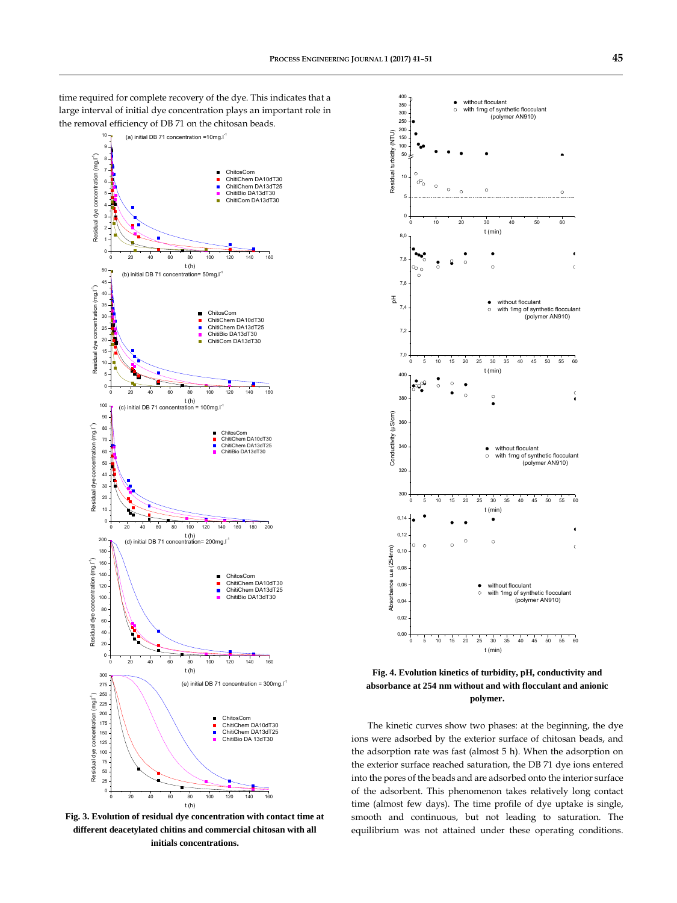time required for complete recovery of the dye. This indicates that a large interval of initial dye concentration plays an important role in the removal efficiency of DB 71 on the chitosan beads.



**Fig. 3. Evolution of residual dye concentration with contact time at different deacetylated chitins and commercial chitosan with all initials concentrations.**



**Fig. 4. Evolution kinetics of turbidity, pH, conductivity and absorbance at 254 nm without and with flocculant and anionic polymer.**

The kinetic curves show two phases: at the beginning, the dye ions were adsorbed by the exterior surface of chitosan beads, and the adsorption rate was fast (almost 5 h). When the adsorption on the exterior surface reached saturation, the DB 71 dye ions entered into the pores of the beads and are adsorbed onto the interior surface of the adsorbent. This phenomenon takes relatively long contact time (almost few days). The time profile of dye uptake is single, smooth and continuous, but not leading to saturation. The equilibrium was not attained under these operating conditions.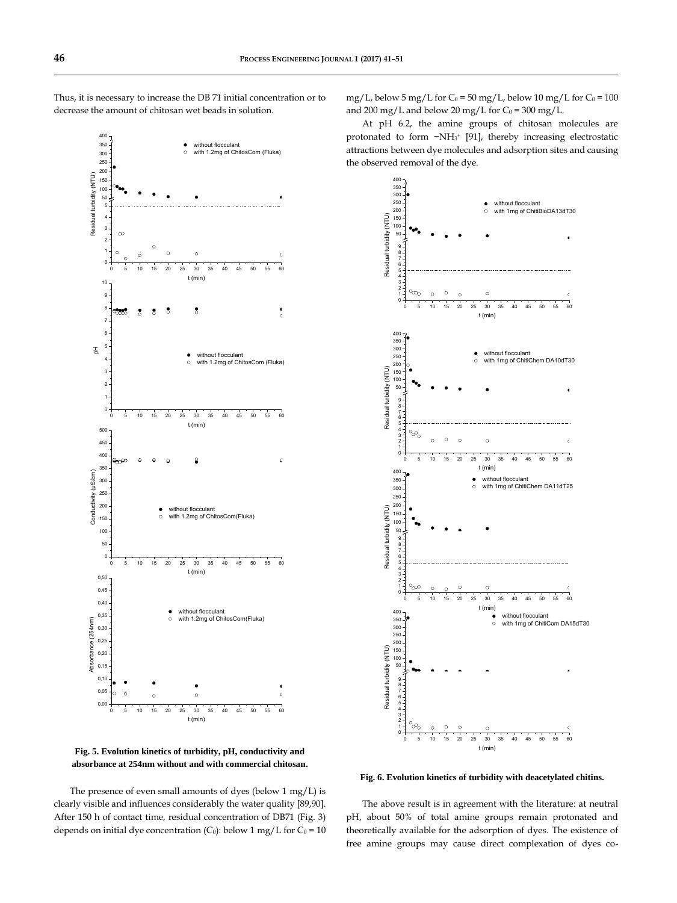

Thus, it is necessary to increase the DB 71 initial concentration or to

**Fig. 5. Evolution kinetics of turbidity, pH, conductivity and absorbance at 254nm without and with commercial chitosan.**

The presence of even small amounts of dyes (below 1 mg/L) is clearly visible and influences considerably the water quality [89,90]. After 150 h of contact time, residual concentration of DB71 (Fig. 3) depends on initial dye concentration (C<sub>0</sub>): below 1 mg/L for C<sub>0</sub> = 10 mg/L, below 5 mg/L for  $C_0 = 50$  mg/L, below 10 mg/L for  $C_0 = 100$ and 200 mg/L and below 20 mg/L for  $C_0 = 300$  mg/L.

At pH 6.2, the amine groups of chitosan molecules are protonated to form −NH<sup>3</sup> <sup>+</sup> [91], thereby increasing electrostatic attractions between dye molecules and adsorption sites and causing the observed removal of the dye.



**Fig. 6. Evolution kinetics of turbidity with deacetylated chitins.**

The above result is in agreement with the literature: at neutral pH, about 50% of total amine groups remain protonated and theoretically available for the adsorption of dyes. The existence of free amine groups may cause direct complexation of dyes co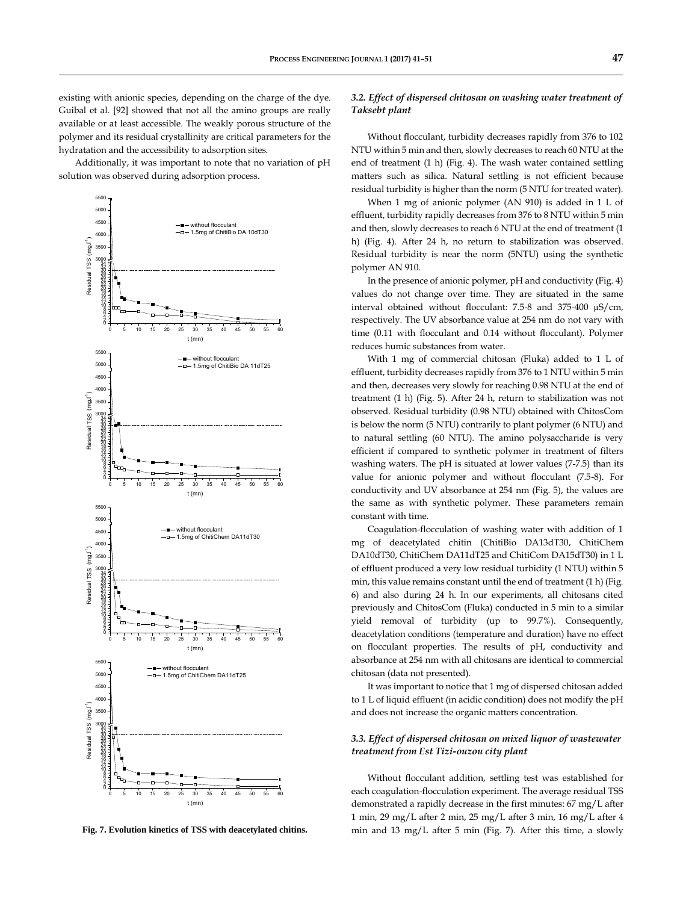existing with anionic species, depending on the charge of the dye. Guibal et al. [92] showed that not all the amino groups are really available or at least accessible. The weakly porous structure of the polymer and its residual crystallinity are critical parameters for the hydratation and the accessibility to adsorption sites.

Additionally, it was important to note that no variation of pH solution was observed during adsorption process.



**Fig. 7. Evolution kinetics of TSS with deacetylated chitins.**

# *3.2. Effect of dispersed chitosan on washing water treatment of Taksebt plant*

Without flocculant, turbidity decreases rapidly from 376 to 102 NTU within 5 min and then, slowly decreases to reach 60 NTU at the end of treatment (1 h) (Fig. 4). The wash water contained settling matters such as silica. Natural settling is not efficient because residual turbidity is higher than the norm (5 NTU for treated water).

When 1 mg of anionic polymer (AN 910) is added in 1 L of effluent, turbidity rapidly decreases from 376 to 8 NTU within 5 min and then, slowly decreases to reach 6 NTU at the end of treatment (1 h) (Fig. 4). After 24 h, no return to stabilization was observed. Residual turbidity is near the norm (5NTU) using the synthetic polymer AN 910.

In the presence of anionic polymer, pH and conductivity (Fig. 4) values do not change over time. They are situated in the same interval obtained without flocculant: 7.5-8 and 375-400 µS/cm, respectively. The UV absorbance value at 254 nm do not vary with time (0.11 with flocculant and 0.14 without flocculant). Polymer reduces humic substances from water.

With 1 mg of commercial chitosan (Fluka) added to 1 L of effluent, turbidity decreases rapidly from 376 to 1 NTU within 5 min and then, decreases very slowly for reaching 0.98 NTU at the end of treatment (1 h) (Fig. 5). After 24 h, return to stabilization was not observed. Residual turbidity (0.98 NTU) obtained with ChitosCom is below the norm (5 NTU) contrarily to plant polymer (6 NTU) and to natural settling (60 NTU). The amino polysaccharide is very efficient if compared to synthetic polymer in treatment of filters washing waters. The pH is situated at lower values (7-7.5) than its value for anionic polymer and without flocculant (7.5-8). For conductivity and UV absorbance at 254 nm (Fig. 5), the values are the same as with synthetic polymer. These parameters remain constant with time.

Coagulation-flocculation of washing water with addition of 1 mg of deacetylated chitin (ChitiBio DA13dT30, ChitiChem DA10dT30, ChitiChem DA11dT25 and ChitiCom DA15dT30) in 1 L of effluent produced a very low residual turbidity (1 NTU) within 5 min, this value remains constant until the end of treatment (1 h) (Fig. 6) and also during 24 h. In our experiments, all chitosans cited previously and ChitosCom (Fluka) conducted in 5 min to a similar yield removal of turbidity (up to 99.7%). Consequently, deacetylation conditions (temperature and duration) have no effect on flocculant properties. The results of pH, conductivity and absorbance at 254 nm with all chitosans are identical to commercial chitosan (data not presented).

It was important to notice that 1 mg of dispersed chitosan added to 1 L of liquid effluent (in acidic condition) does not modify the pH and does not increase the organic matters concentration.

#### *3.3. Effect of dispersed chitosan on mixed liquor of wastewater treatment from Est Tizi-ouzou city plant*

Without flocculant addition, settling test was established for each coagulation-flocculation experiment. The average residual TSS demonstrated a rapidly decrease in the first minutes: 67 mg/L after 1 min, 29 mg/L after 2 min, 25 mg/L after 3 min, 16 mg/L after 4 min and 13 mg/L after 5 min (Fig. 7). After this time, a slowly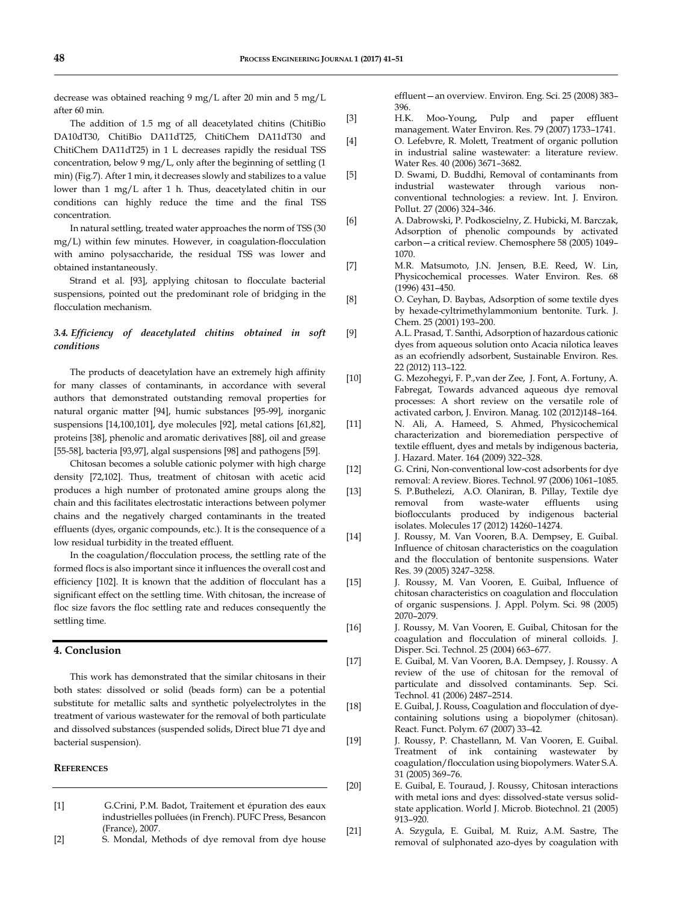decrease was obtained reaching 9 mg/L after 20 min and 5 mg/L after 60 min.

The addition of 1.5 mg of all deacetylated chitins (ChitiBio DA10dT30, ChitiBio DA11dT25, ChitiChem DA11dT30 and ChitiChem DA11dT25) in 1 L decreases rapidly the residual TSS concentration, below 9 mg/L, only after the beginning of settling (1 min) (Fig.7). After 1 min, it decreases slowly and stabilizes to a value lower than 1 mg/L after 1 h. Thus, deacetylated chitin in our conditions can highly reduce the time and the final TSS concentration.

In natural settling, treated water approaches the norm of TSS (30 mg/L) within few minutes. However, in coagulation-flocculation with amino polysaccharide, the residual TSS was lower and obtained instantaneously.

Strand et al. [93], applying chitosan to flocculate bacterial suspensions, pointed out the predominant role of bridging in the flocculation mechanism.

# *3.4. Efficiency of deacetylated chitins obtained in soft conditions*

The products of deacetylation have an extremely high affinity for many classes of contaminants, in accordance with several authors that demonstrated outstanding removal properties for natural organic matter [94], humic substances [95-99], inorganic suspensions [14,100,101], dye molecules [92], metal cations [61,82], proteins [38], phenolic and aromatic derivatives [88], oil and grease [55-58], bacteria [93,97], algal suspensions [98] and pathogens [59].

Chitosan becomes a soluble cationic polymer with high charge density [72,102]. Thus, treatment of chitosan with acetic acid produces a high number of protonated amine groups along the chain and this facilitates electrostatic interactions between polymer chains and the negatively charged contaminants in the treated effluents (dyes, organic compounds, etc.). It is the consequence of a low residual turbidity in the treated effluent.

In the coagulation/flocculation process, the settling rate of the formed flocs is also important since it influences the overall cost and efficiency [102]. It is known that the addition of flocculant has a significant effect on the settling time. With chitosan, the increase of floc size favors the floc settling rate and reduces consequently the settling time.

### **4. Conclusion**

This work has demonstrated that the similar chitosans in their both states: dissolved or solid (beads form) can be a potential substitute for metallic salts and synthetic polyelectrolytes in the treatment of various wastewater for the removal of both particulate and dissolved substances (suspended solids, Direct blue 71 dye and bacterial suspension).

# **REFERENCES**

- [1] G.Crini, P.M. Badot, Traitement et épuration des eaux industrielles polluées (in French). PUFC Press, Besancon (France), 2007.
- [2] S. Mondal, Methods of dye removal from dye house

effluent—an overview. Environ. Eng. Sci. 25 (2008) 383– 396.

- [3] H.K. Moo-Young, Pulp and paper effluent management. Water Environ. Res. 79 (2007) 1733–1741.
- [4] O. Lefebvre, R. Molett, Treatment of organic pollution in industrial saline wastewater: a literature review. Water Res. 40 (2006) 3671–3682.
- [5] D. Swami, D. Buddhi, Removal of contaminants from industrial wastewater through various nonconventional technologies: a review. Int. J. Environ. Pollut. 27 (2006) 324–346.
- [6] A. Dabrowski, P. Podkoscielny, Z. Hubicki, M. Barczak, Adsorption of phenolic compounds by activated carbon—a critical review. Chemosphere 58 (2005) 1049– 1070.
- [7] M.R. Matsumoto, J.N. Jensen, B.E. Reed, W. Lin, Physicochemical processes. Water Environ. Res. 68 (1996) 431–450.
- [8] O. Ceyhan, D. Baybas, Adsorption of some textile dyes by hexade-cyltrimethylammonium bentonite. Turk. J. Chem. 25 (2001) 193–200.
- [9] A.L. Prasad, T. Santhi, Adsorption of hazardous cationic dyes from aqueous solution onto Acacia nilotica leaves as an ecofriendly adsorbent, Sustainable Environ. Res. 22 (2012) 113–122.
- [10] G. Mezohegyi, F. P.,van der Zee, J. Font, A. Fortuny, A. Fabregat, Towards advanced aqueous dye removal processes: A short review on the versatile role of activated carbon, J. Environ. Manag. 102 (2012)148–164.
- [11] N. Ali, A. Hameed, S. Ahmed, Physicochemical characterization and bioremediation perspective of textile effluent, dyes and metals by indigenous bacteria, J. Hazard. Mater. 164 (2009) 322–328.
- [12] G. Crini, Non-conventional low-cost adsorbents for dye removal: A review. Biores. Technol. 97 (2006) 1061–1085.
- [13] S. P.Buthelezi, A.O. Olaniran, B. Pillay, Textile dye removal from waste-water effluents using bioflocculants produced by indigenous bacterial isolates. Molecules 17 (2012) 14260–14274.
- [14] J. Roussy, M. Van Vooren, B.A. Dempsey, E. Guibal. Influence of chitosan characteristics on the coagulation and the flocculation of bentonite suspensions. Water Res. 39 (2005) 3247–3258.
- [15] J. Roussy, M. Van Vooren, E. Guibal, Influence of chitosan characteristics on coagulation and flocculation of organic suspensions. J. Appl. Polym. Sci. 98 (2005) 2070–2079.
- [16] J. Roussy, M. Van Vooren, E. Guibal, Chitosan for the coagulation and flocculation of mineral colloids. J. Disper. Sci. Technol. 25 (2004) 663–677.
- [17] E. Guibal, M. Van Vooren, B.A. Dempsey, J. Roussy. A review of the use of chitosan for the removal of particulate and dissolved contaminants. Sep. Sci. Technol. 41 (2006) 2487–2514.
- [18] E. Guibal, J. Rouss, Coagulation and flocculation of dyecontaining solutions using a biopolymer (chitosan). React. Funct. Polym. 67 (2007) 33–42.
- [19] J. Roussy, P. Chastellann, M. Van Vooren, E. Guibal. Treatment of ink containing wastewater by coagulation/flocculation using biopolymers. Water S.A. 31 (2005) 369–76.
- [20] E. Guibal, E. Touraud, J. Roussy, Chitosan interactions with metal ions and dyes: dissolved-state versus solidstate application. World J. Microb. Biotechnol. 21 (2005) 913–920.
- [21] A. Szygula, E. Guibal, M. Ruiz, A.M. Sastre, The removal of sulphonated azo-dyes by coagulation with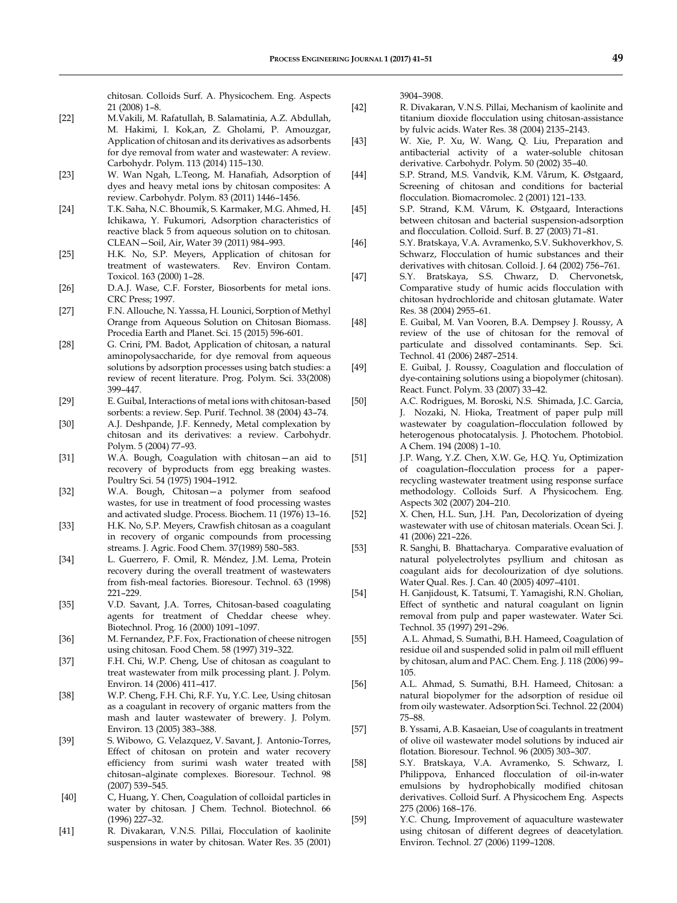chitosan. Colloids Surf. A. Physicochem. Eng. Aspects 21 (2008) 1–8.

- [22] M.Vakili, M. Rafatullah, B. Salamatinia, A.Z. Abdullah, M. Hakimi, I. Kok,an, Z. Gholami, P. Amouzgar, Application of chitosan and its derivatives as adsorbents for dye removal from water and wastewater: A review. Carbohydr. Polym. 113 (2014) 115–130.
- [23] W. Wan Ngah, L.Teong, M. Hanafiah, Adsorption of dyes and heavy metal ions by chitosan composites: A review. Carbohydr. Polym. 83 (2011) 1446–1456.
- [24] T.K. Saha, N.C. Bhoumik, S. Karmaker, M.G. Ahmed, H. Ichikawa, Y. Fukumori, Adsorption characteristics of reactive black 5 from aqueous solution on to chitosan. CLEAN—Soil, Air, Water 39 (2011) 984–993.
- [25] H.K. No, S.P. Meyers, Application of chitosan for treatment of wastewaters. Rev. Environ Contam. Toxicol. 163 (2000) 1–28.
- [26] D.A.J. Wase, C.F. Forster, Biosorbents for metal ions. CRC Press; 1997.
- [27] F.N. Allouche, N. Yasssa, H. Lounici, Sorption of Methyl Orange from Aqueous Solution on Chitosan Biomass. Procedia Earth and Planet. Sci. 15 (2015) 596-601.
- [28] G. Crini, PM. Badot, Application of chitosan, a natural aminopolysaccharide, for dye removal from aqueous solutions by adsorption processes using batch studies: a review of recent literature. Prog. Polym. Sci. 33(2008) 399–447.
- [29] E. Guibal, Interactions of metal ions with chitosan-based sorbents: a review. Sep. Purif. Technol. 38 (2004) 43–74.
- [30] A.J. Deshpande, J.F. Kennedy, Metal complexation by chitosan and its derivatives: a review. Carbohydr. Polym. 5 (2004) 77–93.
- [31] W.A. Bough, Coagulation with chitosan—an aid to recovery of byproducts from egg breaking wastes. Poultry Sci. 54 (1975) 1904–1912.
- [32] W.A. Bough, Chitosan—a polymer from seafood wastes, for use in treatment of food processing wastes and activated sludge. Process. Biochem. 11 (1976) 13–16.
- [33] H.K. No, S.P. Meyers, Crawfish chitosan as a coagulant in recovery of organic compounds from processing streams. J. Agric. Food Chem. 37(1989) 580–583.
- [34] L. Guerrero, F. Omil, R. Méndez, J.M. Lema, Protein recovery during the overall treatment of wastewaters from fish-meal factories. Bioresour. Technol. 63 (1998) 221–229.
- [35] V.D. Savant, J.A. Torres, Chitosan-based coagulating agents for treatment of Cheddar cheese whey. Biotechnol. Prog. 16 (2000) 1091–1097.
- [36] M. Fernandez, P.F. Fox, Fractionation of cheese nitrogen using chitosan. Food Chem. 58 (1997) 319–322.
- [37] F.H. Chi, W.P. Cheng, Use of chitosan as coagulant to treat wastewater from milk processing plant. J. Polym. Environ. 14 (2006) 411–417.
- [38] W.P. Cheng, F.H. Chi, R.F. Yu, Y.C. Lee, Using chitosan as a coagulant in recovery of organic matters from the mash and lauter wastewater of brewery. J. Polym. Environ. 13 (2005) 383–388.
- [39] S. Wibowo, G. Velazquez, V. Savant, J. Antonio-Torres, Effect of chitosan on protein and water recovery efficiency from surimi wash water treated with chitosan–alginate complexes. Bioresour. Technol. 98 (2007) 539–545.
- [40] C, Huang, Y. Chen, Coagulation of colloidal particles in water by chitosan. J Chem. Technol. Biotechnol. 66 (1996) 227–32.
- [41] R. Divakaran, V.N.S. Pillai, Flocculation of kaolinite suspensions in water by chitosan. Water Res. 35 (2001)

3904–3908.

- [42] R. Divakaran, V.N.S. Pillai, Mechanism of kaolinite and titanium dioxide flocculation using chitosan-assistance by fulvic acids. Water Res. 38 (2004) 2135–2143.
- [43] W. Xie, P. Xu, W. Wang, Q. Liu, Preparation and antibacterial activity of a water-soluble chitosan derivative. Carbohydr. Polym. 50 (2002) 35–40.
- [44] S.P. Strand, M.S. Vandvik, K.M. Vårum, K. Østgaard, Screening of chitosan and conditions for bacterial flocculation. Biomacromolec. 2 (2001) 121–133.
- [45] S.P. Strand, K.M. Vårum, K. Østgaard, Interactions between chitosan and bacterial suspension-adsorption and flocculation. Colloid. Surf. B. 27 (2003) 71–81.
- [46] S.Y. Bratskaya, V.A. Avramenko, S.V. Sukhoverkhov, S. Schwarz, Flocculation of humic substances and their derivatives with chitosan. Colloid. J. 64 (2002) 756–761.
- [47] S.Y. Bratskaya, S.S. Chwarz, D. Chervonetsk, Comparative study of humic acids flocculation with chitosan hydrochloride and chitosan glutamate. Water Res. 38 (2004) 2955–61.
- [48] E. Guibal, M. Van Vooren, B.A. Dempsey J. Roussy, A review of the use of chitosan for the removal of particulate and dissolved contaminants. Sep. Sci. Technol. 41 (2006) 2487–2514.
- [49] E. Guibal, J. Roussy, Coagulation and flocculation of dye-containing solutions using a biopolymer (chitosan). React. Funct. Polym. 33 (2007) 33–42.
- [50] A.C. Rodrigues, M. Boroski, N.S. Shimada, J.C. Garcia, J. Nozaki, N. Hioka, Treatment of paper pulp mill wastewater by coagulation–flocculation followed by heterogenous photocatalysis. J. Photochem. Photobiol. A Chem. 194 (2008) 1–10.
- [51] J.P. Wang, Y.Z. Chen, X.W. Ge, H.O. Yu, Optimization of coagulation–flocculation process for a paperrecycling wastewater treatment using response surface methodology. Colloids Surf. A Physicochem. Eng. Aspects 302 (2007) 204–210.
- [52] X. Chen, H.L. Sun, J.H. Pan, Decolorization of dyeing wastewater with use of chitosan materials. Ocean Sci. J. 41 (2006) 221–226.
- [53] R. Sanghi, B. Bhattacharya. Comparative evaluation of natural polyelectrolytes psyllium and chitosan as coagulant aids for decolourization of dye solutions. Water Qual. Res. J. Can. 40 (2005) 4097–4101.
- [54] H. Ganjidoust, K. Tatsumi, T. Yamagishi, R.N. Gholian, Effect of synthetic and natural coagulant on lignin removal from pulp and paper wastewater. Water Sci. Technol. 35 (1997) 291–296.
- [55] A.L. Ahmad, S. Sumathi, B.H. Hameed, Coagulation of residue oil and suspended solid in palm oil mill effluent by chitosan, alum and PAC. Chem. Eng. J. 118 (2006) 99– 105.
- [56] A.L. Ahmad, S. Sumathi, B.H. Hameed, Chitosan: a natural biopolymer for the adsorption of residue oil from oily wastewater. Adsorption Sci. Technol. 22 (2004) 75–88.
- [57] B. Yssami, A.B. Kasaeian, Use of coagulants in treatment of olive oil wastewater model solutions by induced air flotation. Bioresour. Technol. 96 (2005) 303–307.
- [58] S.Y. Bratskaya, V.A. Avramenko, S. Schwarz, I. Philippova, Enhanced flocculation of oil-in-water emulsions by hydrophobically modified chitosan derivatives. Colloid Surf. A Physicochem Eng. Aspects 275 (2006) 168–176.
- [59] Y.C. Chung, Improvement of aquaculture wastewater using chitosan of different degrees of deacetylation. Environ. Technol. 27 (2006) 1199–1208.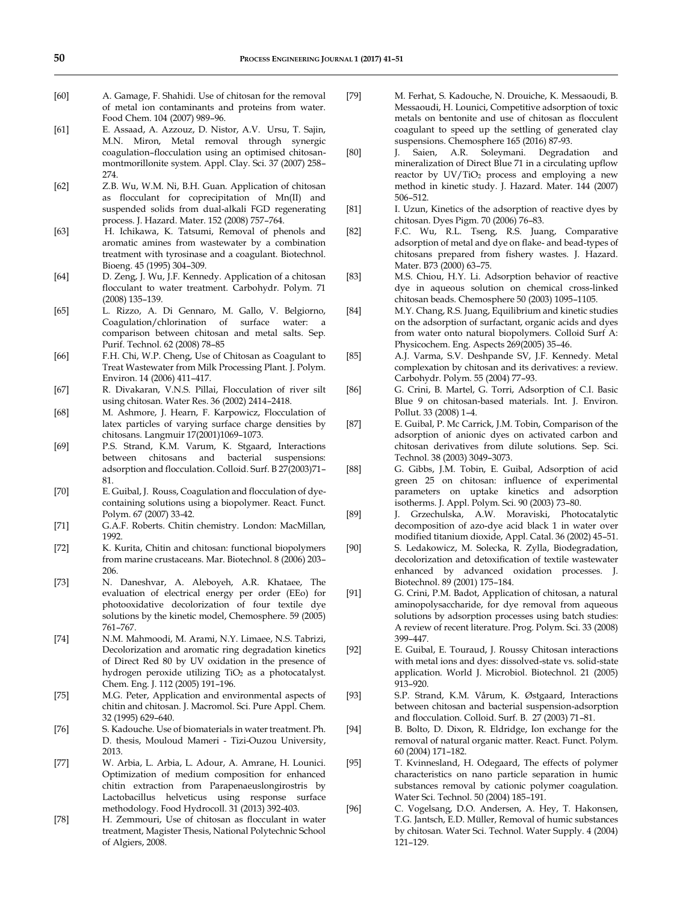- [60] A. Gamage, F. Shahidi. Use of chitosan for the removal of metal ion contaminants and proteins from water. Food Chem. 104 (2007) 989–96.
- [61] E. Assaad, A. Azzouz, D. Nistor, A.V. Ursu, T. Sajin, M.N. Miron, Metal removal through synergic coagulation–flocculation using an optimised chitosanmontmorillonite system. Appl. Clay. Sci. 37 (2007) 258– 274.
- [62] Z.B. Wu, W.M. Ni, B.H. Guan. Application of chitosan as flocculant for coprecipitation of Mn(II) and suspended solids from dual-alkali FGD regenerating process. J. Hazard. Mater. 152 (2008) 757–764.
- [63] H. Ichikawa, K. Tatsumi, Removal of phenols and aromatic amines from wastewater by a combination treatment with tyrosinase and a coagulant. Biotechnol. Bioeng. 45 (1995) 304–309.
- [64] D. Zeng, J. Wu, J.F. Kennedy. Application of a chitosan flocculant to water treatment. Carbohydr. Polym. 71 (2008) 135–139.
- [65] L. Rizzo, A. Di Gennaro, M. Gallo, V. Belgiorno, Coagulation/chlorination of surface water: comparison between chitosan and metal salts. Sep. Purif. Technol. 62 (2008) 78–85
- [66] F.H. Chi, W.P. Cheng, Use of Chitosan as Coagulant to Treat Wastewater from Milk Processing Plant. J. Polym. Environ. 14 (2006) 411–417.
- [67] R. Divakaran, V.N.S. Pillai, Flocculation of river silt using chitosan. Water Res. 36 (2002) 2414–2418.
- [68] M. Ashmore, J. Hearn, F. Karpowicz, Flocculation of latex particles of varying surface charge densities by chitosans. Langmuir 17(2001)1069–1073.
- [69] P.S. Strand, K.M. Varum, K. Stgaard, Interactions between chitosans and bacterial suspensions: adsorption and flocculation. Colloid. Surf. B 27(2003)71– 81.
- [70] E. Guibal, J. Rouss, Coagulation and flocculation of dyecontaining solutions using a biopolymer. React. Funct. Polym. 67 (2007) 33-42.
- [71] G.A.F. Roberts. Chitin chemistry. London: MacMillan, 1992.
- [72] K. Kurita, Chitin and chitosan: functional biopolymers from marine crustaceans. Mar. Biotechnol. 8 (2006) 203– 206.
- [73] N. Daneshvar, A. Aleboyeh, A.R. Khataee, The evaluation of electrical energy per order (EEo) for photooxidative decolorization of four textile dye solutions by the kinetic model, Chemosphere. 59 (2005) 761–767.
- [74] N.M. Mahmoodi, M. Arami, N.Y. Limaee, N.S. Tabrizi, Decolorization and aromatic ring degradation kinetics of Direct Red 80 by UV oxidation in the presence of hydrogen peroxide utilizing TiO<sub>2</sub> as a photocatalyst. Chem. Eng. J. 112 (2005) 191–196.
- [75] M.G. Peter, Application and environmental aspects of chitin and chitosan. J. Macromol. Sci. Pure Appl. Chem. 32 (1995) 629–640.
- [76] S. Kadouche. Use of biomaterials in water treatment. Ph. D. thesis, Mouloud Mameri - Tizi-Ouzou University, 2013.
- [77] W. Arbia, L. Arbia, L. Adour, A. Amrane, H. Lounici. Optimization of medium composition for enhanced chitin extraction from Parapenaeuslongirostris by Lactobacillus helveticus using response surface methodology. Food Hydrocoll. 31 (2013) 392-403.
- [78] H. Zemmouri, Use of chitosan as flocculant in water treatment, Magister Thesis, National Polytechnic School of Algiers, 2008.
- [79] M. Ferhat, S. Kadouche, N. Drouiche, K. Messaoudi, B. Messaoudi, H. Lounici, Competitive adsorption of toxic metals on bentonite and use of chitosan as flocculent coagulant to speed up the settling of generated clay suspensions. Chemosphere 165 (2016) 87-93.
- [80] J. Saien, A.R. Soleymani. Degradation and mineralization of Direct Blue 71 in a circulating upflow reactor by  $UV/TiO<sub>2</sub>$  process and employing a new method in kinetic study. J. Hazard. Mater. 144 (2007) 506–512.
- [81] I. Uzun, Kinetics of the adsorption of reactive dyes by chitosan. Dyes Pigm. 70 (2006) 76–83.
- [82] F.C. Wu, R.L. Tseng, R.S. Juang, Comparative adsorption of metal and dye on flake- and bead-types of chitosans prepared from fishery wastes. J. Hazard. Mater. B73 (2000) 63–75.
- [83] M.S. Chiou, H.Y. Li. Adsorption behavior of reactive dye in aqueous solution on chemical cross-linked chitosan beads. Chemosphere 50 (2003) 1095–1105.
- [84] M.Y. Chang, R.S. Juang, Equilibrium and kinetic studies on the adsorption of surfactant, organic acids and dyes from water onto natural biopolymers. Colloid Surf A: Physicochem. Eng. Aspects 269(2005) 35-46.
- [85] A.J. Varma, S.V. Deshpande SV, J.F. Kennedy. Metal complexation by chitosan and its derivatives: a review. Carbohydr. Polym. 55 (2004) 77–93.
- [86] G. Crini, B. Martel, G. Torri, Adsorption of C.I. Basic Blue 9 on chitosan-based materials. Int. J. Environ. Pollut. 33 (2008) 1–4.
- [87] E. Guibal, P. Mc Carrick, J.M. Tobin, Comparison of the adsorption of anionic dyes on activated carbon and chitosan derivatives from dilute solutions. Sep. Sci. Technol. 38 (2003) 3049–3073.
- [88] G. Gibbs, J.M. Tobin, E. Guibal, Adsorption of acid green 25 on chitosan: influence of experimental parameters on uptake kinetics and adsorption isotherms. J. Appl. Polym. Sci. 90 (2003) 73–80.
- [89] J. Grzechulska, A.W. Moraviski, Photocatalytic decomposition of azo-dye acid black 1 in water over modified titanium dioxide, Appl. Catal. 36 (2002) 45–51.
- [90] S. Ledakowicz, M. Solecka, R. Zylla, Biodegradation, decolorization and detoxification of textile wastewater enhanced by advanced oxidation processes. J. Biotechnol. 89 (2001) 175–184.
- [91] G. Crini, P.M. Badot, Application of chitosan, a natural aminopolysaccharide, for dye removal from aqueous solutions by adsorption processes using batch studies: A review of recent literature. Prog. Polym. Sci. 33 (2008) 399–447.
- [92] E. Guibal, E. Touraud, J. Roussy Chitosan interactions with metal ions and dyes: dissolved-state vs. solid-state application. World J. Microbiol. Biotechnol. 21 (2005) 913–920.
- [93] S.P. Strand, K.M. Vårum, K. Østgaard, Interactions between chitosan and bacterial suspension-adsorption and flocculation. Colloid. Surf. B. 27 (2003) 71–81.
- [94] B. Bolto, D. Dixon, R. Eldridge, Ion exchange for the removal of natural organic matter. React. Funct. Polym. 60 (2004) 171–182.
- [95] T. Kvinnesland, H. Odegaard, The effects of polymer characteristics on nano particle separation in humic substances removal by cationic polymer coagulation. Water Sci. Technol. 50 (2004) 185–191.
- [96] C. Vogelsang, D.O. Andersen, A. Hey, T. Hakonsen, T.G. Jantsch, E.D. Müller, Removal of humic substances by chitosan. Water Sci. Technol. Water Supply. 4 (2004) 121–129.